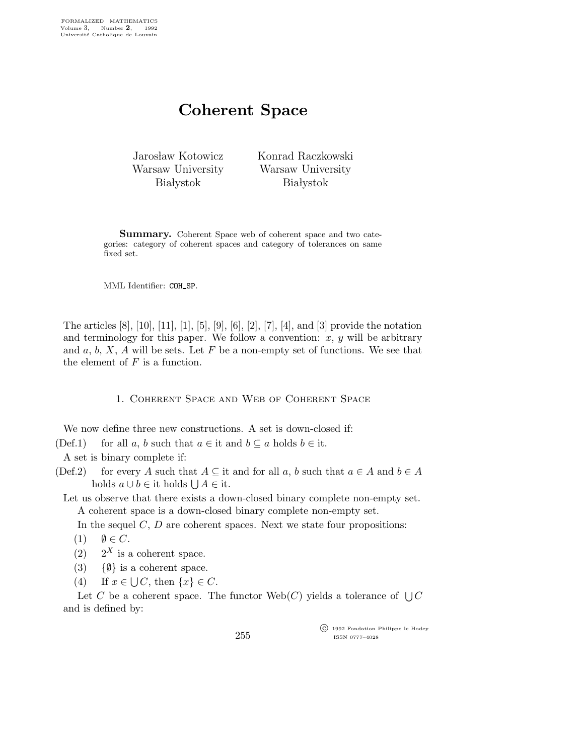## Coherent Space

Jarosław Kotowicz Warsaw University **Białystok** 

Konrad Raczkowski Warsaw University **Białystok** 

Summary. Coherent Space web of coherent space and two categories: category of coherent spaces and category of tolerances on same fixed set.

MML Identifier: COH\_SP.

The articles [8], [10], [11], [1], [5], [9], [6], [2], [7], [4], and [3] provide the notation and terminology for this paper. We follow a convention:  $x, y$  will be arbitrary and  $a, b, X, A$  will be sets. Let F be a non-empty set of functions. We see that the element of  $F$  is a function.

1. Coherent Space and Web of Coherent Space

We now define three new constructions. A set is down-closed if:

(Def.1) for all a, b such that  $a \in \text{it}$  and  $b \subseteq a$  holds  $b \in \text{it}$ .

A set is binary complete if:

(Def.2) for every A such that  $A \subseteq$  it and for all a, b such that  $a \in A$  and  $b \in A$ holds  $a \cup b \in \text{it holds } \bigcup A \in \text{it.}$ 

Let us observe that there exists a down-closed binary complete non-empty set. A coherent space is a down-closed binary complete non-empty set.

In the sequel  $C, D$  are coherent spaces. Next we state four propositions:

$$
(1) \quad \emptyset \in C.
$$

 $(2)$  2<sup>X</sup> is a coherent space.

- (3) { $\emptyset$ } is a coherent space.
- (4) If  $x \in \bigcup C$ , then  $\{x\} \in C$ .

Let C be a coherent space. The functor  $Web(C)$  yields a tolerance of  $\bigcup C$ and is defined by:

255

 c 1992 Fondation Philippe le Hodey ISSN 0777–4028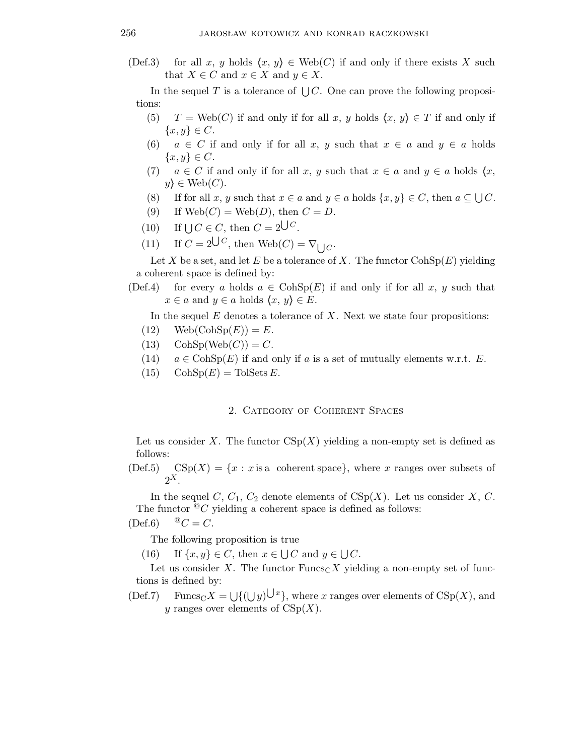(Def.3) for all x, y holds  $\langle x, y \rangle \in \text{Web}(C)$  if and only if there exists X such that  $X \in C$  and  $x \in X$  and  $y \in X$ .

In the sequel T is a tolerance of  $\bigcup C$ . One can prove the following propositions:

- (5)  $T = \text{Web}(C)$  if and only if for all x, y holds  $\{x, y\} \in T$  if and only if  ${x, y} \in C$ .
- (6)  $a \in C$  if and only if for all x, y such that  $x \in a$  and  $y \in a$  holds  $\{x,y\} \in C.$
- (7)  $a \in C$  if and only if for all x, y such that  $x \in a$  and  $y \in a$  holds  $\langle x, \rangle$  $y\} \in \text{Web}(C).$
- (8) If for all x, y such that  $x \in a$  and  $y \in a$  holds  $\{x, y\} \in C$ , then  $a \subseteq \bigcup C$ .
- (9) If  $Web(C) = Web(D)$ , then  $C = D$ .
- (10) If  $\bigcup C \in C$ , then  $C = 2^{\bigcup C}$ .
- (11) If  $C = 2^{\bigcup C}$ , then  $\text{Web}(C) = \nabla_{\bigcup C}$ .

Let X be a set, and let E be a tolerance of X. The functor  $\text{CohSp}(E)$  yielding a coherent space is defined by:

(Def.4) for every a holds  $a \in \mathrm{CohSp}(E)$  if and only if for all x, y such that  $x \in a$  and  $y \in a$  holds  $\langle x, y \rangle \in E$ .

In the sequel  $E$  denotes a tolerance of  $X$ . Next we state four propositions:

- $(12) \text{Web}(\text{CohSp}(E)) = E.$
- (13)  $\text{CohSp}(Web(C)) = C.$
- (14)  $a \in \mathrm{CohSp}(E)$  if and only if a is a set of mutually elements w.r.t. E.
- $(15)$  Coh $Sp(E)$  = TolSets E.

## 2. Category of Coherent Spaces

Let us consider X. The functor  $CSp(X)$  yielding a non-empty set is defined as follows:

 $(Def.5) \quad CSp(X) = \{x : x \text{ is a coherent space}\},\$  where x ranges over subsets of  $2^X$ .

In the sequel C,  $C_1$ ,  $C_2$  denote elements of  $CSp(X)$ . Let us consider X, C. The functor  ${}^@C$  yielding a coherent space is defined as follows:

$$
(\text{Def.6}) \qquad {}^{\textcircled{\tiny{\mathbb{Q}}}}C = C.
$$

The following proposition is true

(16) If  $\{x, y\} \in C$ , then  $x \in \bigcup C$  and  $y \in \bigcup C$ .

Let us consider X. The functor Funcs<sub>C</sub>X yielding a non-empty set of functions is defined by:

(Def.7) Funcs<sub>C</sub>X =  $\bigcup$ { $(\bigcup y)^{\bigcup x}$ }, where x ranges over elements of CSp(X), and y ranges over elements of  $CSp(X)$ .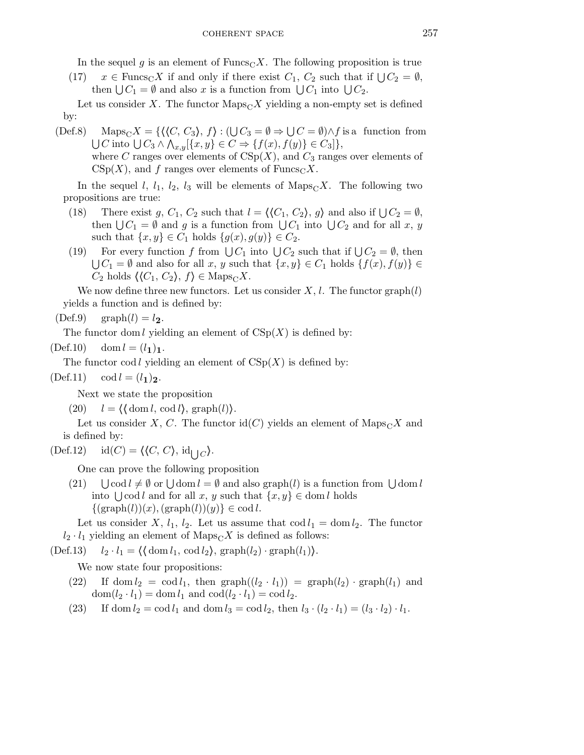In the sequel g is an element of  $\text{Funcs}_C X$ . The following proposition is true

(17)  $x \in \text{Funcs}_C X$  if and only if there exist  $C_1, C_2$  such that if  $\bigcup C_2 = \emptyset$ , then  $\bigcup C_1 = \emptyset$  and also x is a function from  $\bigcup C_1$  into  $\bigcup C_2$ .

Let us consider X. The functor  $\text{Maps}_{C}X$  yielding a non-empty set is defined by:

(Def.8) Maps<sub>C</sub>X = { $\{\langle C, C_3 \rangle, f\} : (\bigcup C_3 = \emptyset \Rightarrow \bigcup C = \emptyset) \land f$  is a function from  $\bigcup C$  into  $\bigcup C_3 \wedge \bigwedge_{x,y} [\{x,y\} \in C \Rightarrow \{f(x),f(y)\} \in C_3]\},\$ where C ranges over elements of  $CSp(X)$ , and  $C_3$  ranges over elements of  $CSp(X)$ , and f ranges over elements of Funcs<sub>C</sub>X.

In the sequel l,  $l_1$ ,  $l_2$ ,  $l_3$  will be elements of  $\text{Maps}_C X$ . The following two propositions are true:

- (18) There exist g,  $C_1$ ,  $C_2$  such that  $l = \langle (C_1, C_2), g \rangle$  and also if  $\bigcup C_2 = \emptyset$ , then  $\bigcup C_1 = \emptyset$  and g is a function from  $\bigcup C_1$  into  $\bigcup C_2$  and for all x, y such that  $\{x,y\} \in C_1$  holds  $\{g(x),g(y)\} \in C_2$ .
- (19) For every function f from  $\bigcup C_1$  into  $\bigcup C_2$  such that if  $\bigcup C_2 = \emptyset$ , then  $\bigcup C_1 = \emptyset$  and also for all x, y such that  $\{x, y\} \in C_1$  holds  $\{f(x), f(y)\} \in$  $C_2$  holds  $\langle \langle C_1, C_2 \rangle, f \rangle \in \text{Maps}_C X$ .

We now define three new functors. Let us consider  $X, l$ . The functor graph $(l)$ yields a function and is defined by:

 $(Def.9)$  graph $(l) = l_2$ .

The functor dom l yielding an element of  $CSp(X)$  is defined by:

 $(Def.10) \quad \text{dom } l = (l_1)_1.$ 

The functor cod l yielding an element of  $CSp(X)$  is defined by:

 $(Def.11) \quad \text{cod } l = (l_1)_2.$ 

Next we state the proposition

(20)  $l = \langle \langle \text{dom } l, \text{cod } l \rangle, \text{graph}(l) \rangle.$ 

Let us consider X, C. The functor id(C) yields an element of  $\text{Maps}_{C}X$  and is defined by:

 $(\text{Def.12}) \quad \text{id}(C) = \langle \langle C, C \rangle, \text{id}_{\bigcup C} \rangle.$ 

One can prove the following proposition

 $(21)$  $\text{cod } l \neq \emptyset \text{ or } \bigcup \text{dom } l = \emptyset \text{ and also graph}(l) \text{ is a function from } \bigcup \text{dom } l$ into  $\bigcup \text{cod } l$  and for all  $x, y$  such that  $\{x, y\} \in \text{dom } l$  holds  $\{(graph(l))(x),(graph(l))(y)\}\in \text{cod }l.$ 

Let us consider X,  $l_1$ ,  $l_2$ . Let us assume that  $\text{cod } l_1 = \text{dom } l_2$ . The functor  $l_2 \cdot l_1$  yielding an element of  $\text{Maps}_{\text{C}}X$  is defined as follows:

(Def.13)  $l_2 \cdot l_1 = \langle \langle \text{dom } l_1, \text{cod } l_2 \rangle, \text{graph}(l_2) \cdot \text{graph}(l_1) \rangle.$ 

We now state four propositions:

- (22) If dom  $l_2 = \text{cod } l_1$ , then  $\text{graph}((l_2 \cdot l_1)) = \text{graph}(l_2) \cdot \text{graph}(l_1)$  and  $dom(l_2 \cdot l_1) = dom l_1$  and  $cod(l_2 \cdot l_1) = cod l_2$ .
- (23) If dom  $l_2 = \text{cod } l_1$  and dom  $l_3 = \text{cod } l_2$ , then  $l_3 \cdot (l_2 \cdot l_1) = (l_3 \cdot l_2) \cdot l_1$ .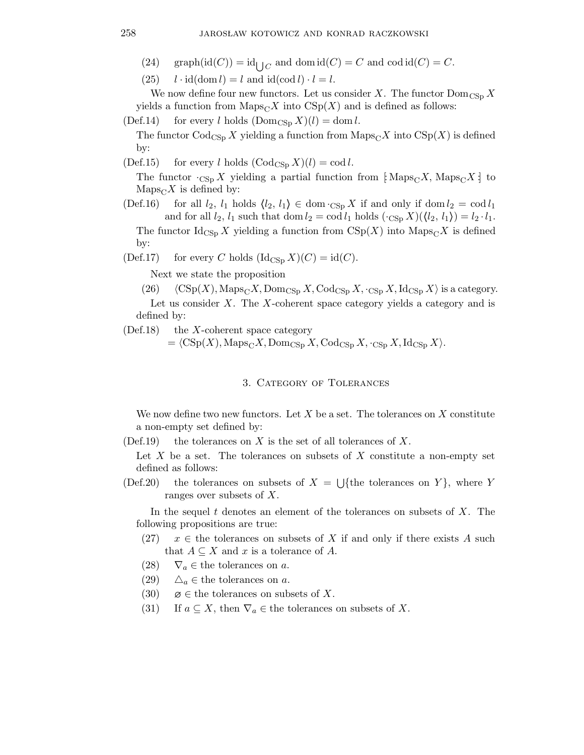- (24) graph( $\text{id}(C)$ ) =  $\text{id}_{\bigcup C}$  and dom  $\text{id}(C) = C$  and  $\text{cod } \text{id}(C) = C$ .
- $(25)$   $l \cdot \text{id}(\text{dom } l) = l$  and  $\text{id}(\text{cod } l) \cdot l = l$ .

We now define four new functors. Let us consider X. The functor  $\text{Dom}_{\text{CSp}} X$ yields a function from  $\text{Maps}_{C}X$  into  $\text{CSp}(X)$  and is defined as follows:

(Def.14) for every l holds  $(Dom_{\text{CSp}} X)(l) = \text{dom } l$ .

The functor  $\text{Code}_{\text{CSp}} X$  yielding a function from  $\text{Maps}_{C} X$  into  $\text{CSp}(X)$  is defined by:

(Def.15) for every l holds  $(\text{Cod}_{\text{CSp}} X)(l) = \text{cod } l$ .

The functor  $\cdot_{\text{CSp}} X$  yielding a partial function from [Maps<sub>C</sub>X, Maps<sub>C</sub>X] to  $\text{Maps}_{C} X$  is defined by:

(Def.16) for all  $l_2$ ,  $l_1$  holds  $\langle l_2, l_1 \rangle \in \text{dom} \cdot_{\text{CSp}} X$  if and only if dom  $l_2 = \text{cod } l_1$ and for all  $l_2$ ,  $l_1$  such that dom  $l_2 = \text{cod } l_1$  holds  $(\cdot_{\text{CSp}} X)(\langle l_2, l_1 \rangle) = l_2 \cdot l_1$ . The functor  $\mathrm{Id}_{\mathrm{CSp}} X$  yielding a function from  $\mathrm{CSp}(X)$  into  $\mathrm{Maps}_{\mathrm{C}} X$  is defined

by:

(Def.17) for every C holds  $(\text{Id}_{\text{CSp}} X)(C) = \text{id}(C)$ .

Next we state the proposition

- (26)  $\langle \text{CSp}(X), \text{Maps}_C X, \text{Dom}_{\text{CSp}} X, \text{Cod}_{\text{CSp}} X, \cdot_{\text{CSp}} X, \text{Id}_{\text{CSp}} X \rangle$  is a category. Let us consider  $X$ . The  $X$ -coherent space category yields a category and is defined by:
- $(Def.18)$  the X-coherent space category

 $=\langle \text{CSp}(X), \text{Maps}_{\text{C}}X, \text{Dom}_{\text{CSp}}X, \text{Cod}_{\text{CSp}}X, \cdot_{\text{CSp}}X, \text{Id}_{\text{CSp}}X\rangle.$ 

## 3. Category of Tolerances

We now define two new functors. Let  $X$  be a set. The tolerances on  $X$  constitute a non-empty set defined by:

(Def.19) the tolerances on  $X$  is the set of all tolerances of  $X$ .

Let  $X$  be a set. The tolerances on subsets of  $X$  constitute a non-empty set defined as follows:

(Def.20) the tolerances on subsets of  $X = \bigcup \{$ the tolerances on Y $\}$ , where Y ranges over subsets of X.

In the sequel  $t$  denotes an element of the tolerances on subsets of  $X$ . The following propositions are true:

- (27)  $x \in$  the tolerances on subsets of X if and only if there exists A such that  $A \subseteq X$  and x is a tolerance of A.
- (28)  $\nabla_a \in \text{the tolerances on } a$ .
- (29)  $\Delta_a \in \text{the tolerances on } a$ .
- (30)  $\varnothing \in \text{the tolerances on subsets of } X.$
- (31) If  $a \subseteq X$ , then  $\nabla_a \in$  the tolerances on subsets of X.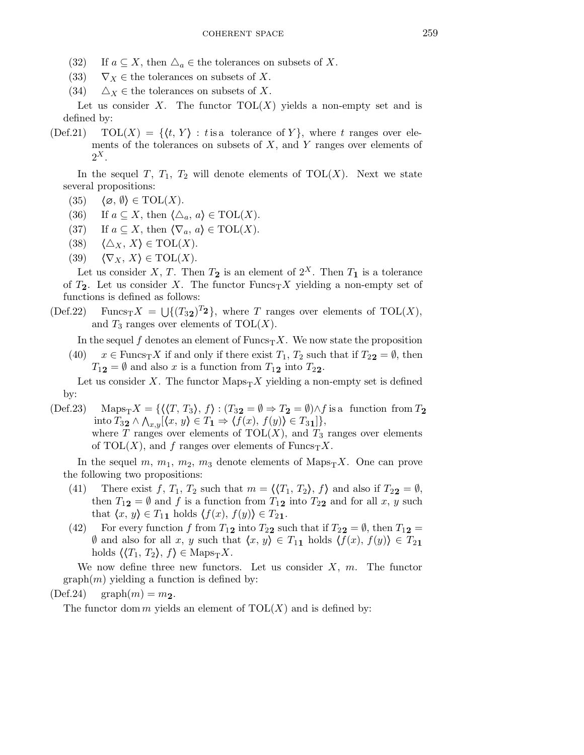- (32) If  $a \subseteq X$ , then  $\Delta_a \in \mathbb{R}$  the tolerances on subsets of X.
- (33)  $\nabla_X \in$  the tolerances on subsets of X.
- (34)  $\Delta_X \in$  the tolerances on subsets of X.

Let us consider X. The functor  $TOL(X)$  yields a non-empty set and is defined by:

 $(\text{Def.21}) \quad \text{TOL}(X) = \{ \langle t, Y \rangle : t \text{ is a tolerance of } Y \}, \text{ where } t \text{ ranges over ele$ ments of the tolerances on subsets of  $X$ , and  $Y$  ranges over elements of  $2^X$ .

In the sequel T,  $T_1$ ,  $T_2$  will denote elements of TOL(X). Next we state several propositions:

- (35)  $\langle \emptyset, \emptyset \rangle \in \text{TOL}(X)$ .
- (36) If  $a \subseteq X$ , then  $\langle \triangle_a, a \rangle \in \text{TOL}(X)$ .
- (37) If  $a \subseteq X$ , then  $\langle \nabla_a, a \rangle \in \text{TOL}(X)$ .
- (38)  $\langle \Delta_X, X \rangle \in \text{TOL}(X)$ .
- (39)  $\langle \nabla_X, X \rangle \in \text{TOL}(X)$ .

Let us consider X, T. Then  $T_2$  is an element of  $2^X$ . Then  $T_1$  is a tolerance of  $T_2$ . Let us consider X. The functor  $\text{Funcs}_T X$  yielding a non-empty set of functions is defined as follows:

(Def.22) Funcs<sub>T</sub>X =  $\bigcup \{(T_{32})^{T_{2}}\}$ , where T ranges over elements of TOL(X), and  $T_3$  ranges over elements of  $TOL(X)$ .

In the sequel f denotes an element of  $\text{Funcs}_{T}X$ . We now state the proposition

(40)  $x \in \text{Funcs}_{T}X$  if and only if there exist  $T_1, T_2$  such that if  $T_{22} = \emptyset$ , then  $T_{12} = \emptyset$  and also x is a function from  $T_{12}$  into  $T_{22}$ .

Let us consider X. The functor  $\text{Maps}_{T}X$  yielding a non-empty set is defined by:

(Def.23) Maps $_{T}X = \{ \langle T, T_3 \rangle, f \rangle : (T_3 2 = \emptyset \Rightarrow T_2 = \emptyset) \wedge f$  is a function from  $T_2$ into  $T_{32} \wedge \bigwedge_{x,y} [\langle x, y \rangle \in T_1 \Rightarrow \langle f(x), f(y) \rangle \in T_{31}] \},$ 

where T ranges over elements of  $TOL(X)$ , and  $T_3$  ranges over elements of TOL(X), and f ranges over elements of  $\text{Funcs}_{T}X$ .

In the sequel m,  $m_1$ ,  $m_2$ ,  $m_3$  denote elements of Maps<sub>T</sub>X. One can prove the following two propositions:

- (41) There exist f,  $T_1$ ,  $T_2$  such that  $m = \langle T_1, T_2 \rangle$ , f) and also if  $T_{22} = \emptyset$ , then  $T_{12} = \emptyset$  and f is a function from  $T_{12}$  into  $T_{22}$  and for all x, y such that  $\langle x, y \rangle \in T_{11}$  holds  $\langle f(x), f(y) \rangle \in T_{21}$ .
- (42) For every function f from  $T_{12}$  into  $T_{22}$  such that if  $T_{22} = \emptyset$ , then  $T_{12} =$  $\emptyset$  and also for all x, y such that  $\langle x, y \rangle \in T_{11}$  holds  $\langle f(x), f(y) \rangle \in T_{21}$ holds  $\langle T_1, T_2 \rangle, f \in \text{Maps}_{T}X$ .

We now define three new functors. Let us consider  $X, m$ . The functor  $graph(m)$  yielding a function is defined by:

 $(Def.24)$  graph $(m) = m_2$ .

The functor dom m yields an element of  $TOL(X)$  and is defined by: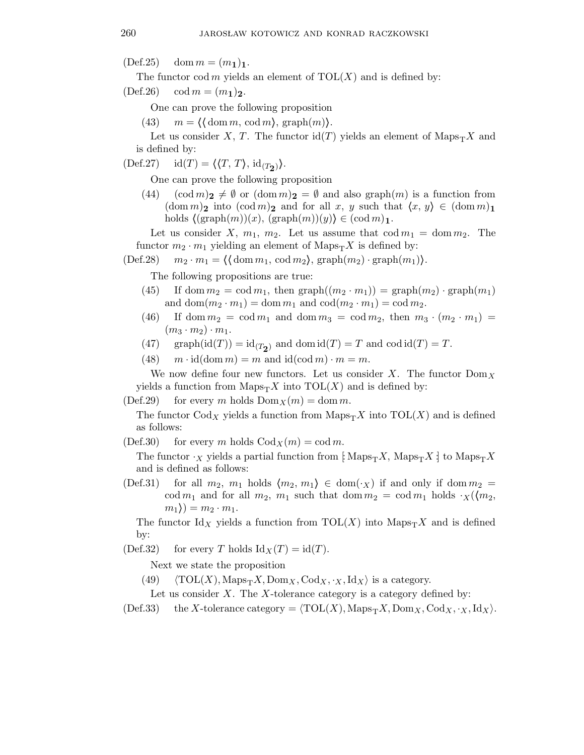$(Def.25) \quad \text{dom } m = (m_1)_1.$ 

The functor cod m yields an element of  $TOL(X)$  and is defined by:

 $(Def.26) \quad \text{cod } m = (m_1)_2.$ 

One can prove the following proposition

(43)  $m = \langle \text{dom } m, \text{cod } m \rangle, \text{graph}(m) \rangle.$ 

Let us consider X, T. The functor  $\mathrm{id}(T)$  yields an element of  $\mathrm{Maps}_{T}X$  and is defined by:

 $(\text{Def.27}) \quad \text{id}(T) = \langle \langle T, T \rangle, \text{id}_{(T_2)} \rangle.$ 

One can prove the following proposition

(44)  $(\text{cod } m)_2 \neq \emptyset \text{ or } (\text{dom } m)_2 = \emptyset \text{ and also graph}(m) \text{ is a function from }$  $(\text{dom } m)_2$  into  $(\text{cod } m)_2$  and for all x, y such that  $\langle x, y \rangle \in (\text{dom } m)_1$ holds  $\langle (\text{graph}(m))(x), (\text{graph}(m))(y) \rangle \in (\text{cod } m)_1.$ 

Let us consider X,  $m_1$ ,  $m_2$ . Let us assume that  $\text{cod } m_1 = \text{dom } m_2$ . The functor  $m_2 \cdot m_1$  yielding an element of  $\text{Maps}_{T}X$  is defined by:

 $(\text{Def.28})$   $m_2 \cdot m_1 = \langle \text{dom } m_1, \text{ cod } m_2 \rangle, \text{graph}(m_2) \cdot \text{graph}(m_1) \rangle.$ 

The following propositions are true:

- (45) If dom  $m_2 = \text{cod } m_1$ , then  $\text{graph}((m_2 \cdot m_1)) = \text{graph}(m_2) \cdot \text{graph}(m_1)$ and dom $(m_2 \cdot m_1) = \text{dom } m_1$  and  $\text{cod}(m_2 \cdot m_1) = \text{cod } m_2$ .
- (46) If dom  $m_2 = \text{cod } m_1$  and dom  $m_3 = \text{cod } m_2$ , then  $m_3 \cdot (m_2 \cdot m_1) =$  $(m_3 \cdot m_2) \cdot m_1$ .
- (47) graph(id(T)) = id<sub>(T<sub>2</sub>)</sub> and dom id(T) = T and cod id(T) = T.

(48)  $m \cdot id(\text{dom } m) = m$  and  $id(\text{cod } m) \cdot m = m$ .

We now define four new functors. Let us consider X. The functor  $\text{Dom}_X$ yields a function from  $\text{Maps}_{T}X$  into  $\text{TOL}(X)$  and is defined by:

(Def.29) for every m holds  $Dom_X(m) = dom m$ .

The functor Cod<sub>X</sub> yields a function from  $\text{Maps}_{T}X$  into  $\text{TOL}(X)$  and is defined as follows:

(Def.30) for every m holds  $Cod_X(m) = cod m$ .

The functor  $\cdot_X$  yields a partial function from [: Maps $\cdot_X$ , Maps $\cdot_Y X$ : to Maps $\cdot_Y X$ and is defined as follows:

(Def.31) for all  $m_2$ ,  $m_1$  holds  $\langle m_2, m_1 \rangle \in \text{dom}(\cdot_X)$  if and only if dom  $m_2 =$ cod  $m_1$  and for all  $m_2$ ,  $m_1$  such that dom  $m_2 = \text{cod } m_1$  holds  $\cdot_X(\langle m_2,$  $m_1$ ) =  $m_2 \cdot m_1$ .

The functor Id<sub>X</sub> yields a function from  $\text{TOL}(X)$  into  $\text{Maps}_{T}X$  and is defined by:

(Def.32) for every T holds  $\text{Id}_X(T) = \text{id}(T)$ .

Next we state the proposition

(49)  $\langle \text{TOL}(X), \text{Maps}_{T}X, \text{Dom}_X, \text{Cod}_X, \cdot_X, \text{Id}_X \rangle$  is a category.

Let us consider  $X$ . The  $X$ -tolerance category is a category defined by:

(Def.33) the X-tolerance category =  $\langle \text{TOL}(X), \text{Maps}_{T}X, \text{Dom}_{X}, \text{Cod}_{X}, \cdot_{X}, \text{Id}_{X}\rangle.$